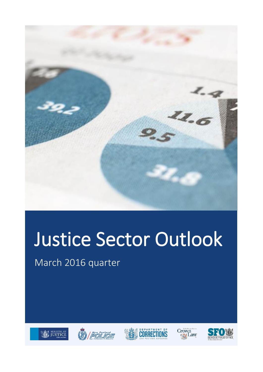

# Justice Sector Outlook

March 2016 quarter









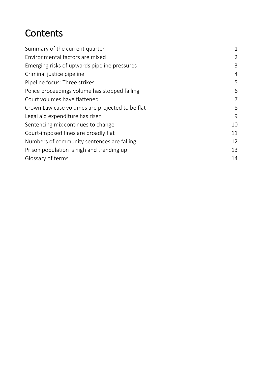### **Contents**

| Summary of the current quarter                  |                |
|-------------------------------------------------|----------------|
| Environmental factors are mixed                 | $\overline{2}$ |
| Emerging risks of upwards pipeline pressures    | 3              |
| Criminal justice pipeline                       | 4              |
| Pipeline focus: Three strikes                   | 5              |
| Police proceedings volume has stopped falling   | 6              |
| Court volumes have flattened                    | 7              |
| Crown Law case volumes are projected to be flat | 8              |
| Legal aid expenditure has risen                 | 9              |
| Sentencing mix continues to change              | 10             |
| Court-imposed fines are broadly flat            | 11             |
| Numbers of community sentences are falling      | 12             |
| Prison population is high and trending up       | 13             |
| Glossary of terms                               | 14             |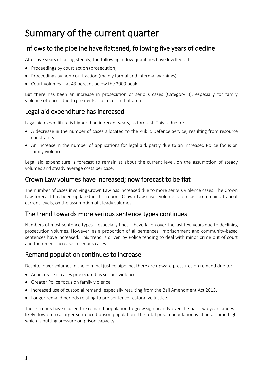### <span id="page-2-0"></span>Summary of the current quarter

### Inflows to the pipeline have flattened, following five years of decline

After five years of falling steeply, the following inflow quantities have levelled off:

- Proceedings by court action (prosecution).
- Proceedings by non-court action (mainly formal and informal warnings).
- Court volumes at 43 percent below the 2009 peak.

But there has been an increase in prosecution of serious cases (Category 3), especially for family violence offences due to greater Police focus in that area.

### Legal aid expenditure has increased

Legal aid expenditure is higher than in recent years, as forecast. This is due to:

- A decrease in the number of cases allocated to the Public Defence Service, resulting from resource constraints.
- An increase in the number of applications for legal aid, partly due to an increased Police focus on family violence.

Legal aid expenditure is forecast to remain at about the current level, on the assumption of steady volumes and steady average costs per case.

#### Crown Law volumes have increased; now forecast to be flat

The number of cases involving Crown Law has increased due to more serious violence cases. The Crown Law forecast has been updated in this report. Crown Law cases volume is forecast to remain at about current levels, on the assumption of steady volumes.

#### The trend towards more serious sentence types continues

Numbers of most sentence types – especially fines – have fallen over the last few years due to declining prosecution volumes. However, as a proportion of all sentences, imprisonment and community-based sentences have increased. This trend is driven by Police tending to deal with minor crime out of court and the recent increase in serious cases.

#### Remand population continues to increase

Despite lower volumes in the criminal justice pipeline, there are upward pressures on remand due to:

- An increase in cases prosecuted as serious violence.
- Greater Police focus on family violence.
- Increased use of custodial remand, especially resulting from the Bail Amendment Act 2013.
- Longer remand periods relating to pre-sentence restorative justice.

Those trends have caused the remand population to grow significantly over the past two years and will likely flow on to a larger sentenced prison population. The total prison population is at an all-time high, which is putting pressure on prison capacity.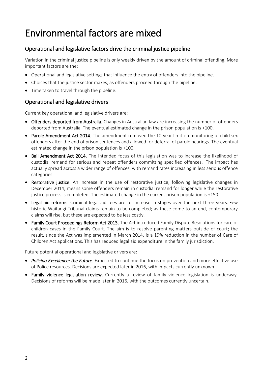### <span id="page-3-0"></span>Environmental factors are mixed

#### Operational and legislative factors drive the criminal justice pipeline

Variation in the criminal justice pipeline is only weakly driven by the amount of criminal offending. More important factors are the:

- Operational and legislative settings that influence the entry of offenders into the pipeline.
- Choices that the justice sector makes, as offenders proceed through the pipeline.
- Time taken to travel through the pipeline.

#### Operational and legislative drivers

Current key operational and legislative drivers are:

- Offenders deported from Australia. Changes in Australian law are increasing the number of offenders deported from Australia. The eventual estimated change in the prison population is +100.
- Parole Amendment Act 2014. The amendment removed the 10-year limit on monitoring of child sex offenders after the end of prison sentences and allowed for deferral of parole hearings. The eventual estimated change in the prison population is +100.
- Bail Amendment Act 2014. The intended focus of this legislation was to increase the likelihood of custodial remand for serious and repeat offenders committing specified offences. The impact has actually spread across a wider range of offences, with remand rates increasing in less serious offence categories.
- Restorative justice. An increase in the use of restorative justice, following legislative changes in December 2014, means some offenders remain in custodial remand for longer while the restorative justice process is completed. The estimated change in the current prison population is +150.
- Legal aid reforms. Criminal legal aid fees are to increase in stages over the next three years. Few historic Waitangi Tribunal claims remain to be completed; as these come to an end, contemporary claims will rise, but these are expected to be less costly.
- Family Court Proceedings Reform Act 2013. The Act introduced Family Dispute Resolutions for care of children cases in the Family Court. The aim is to resolve parenting matters outside of court; the result, since the Act was implemented in March 2014, is a 19% reduction in the number of Care of Children Act applications. This has reduced legal aid expenditure in the family jurisdiction.

Future potential operational and legislative drivers are:

- *Policing Excellence: the Future*. Expected to continue the focus on prevention and more effective use of Police resources. Decisions are expected later in 2016, with impacts currently unknown.
- Family violence legislation review. Currently a review of family violence legislation is underway. Decisions of reforms will be made later in 2016, with the outcomes currently uncertain.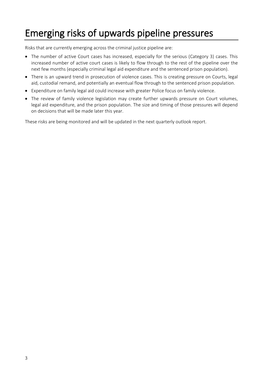### <span id="page-4-0"></span>Emerging risks of upwards pipeline pressures

Risks that are currently emerging across the criminal justice pipeline are:

- The number of active Court cases has increased, especially for the serious (Category 3) cases. This increased number of active court cases is likely to flow through to the rest of the pipeline over the next few months (especially criminal legal aid expenditure and the sentenced prison population).
- There is an upward trend in prosecution of violence cases. This is creating pressure on Courts, legal aid, custodial remand, and potentially an eventual flow through to the sentenced prison population.
- Expenditure on family legal aid could increase with greater Police focus on family violence.
- The review of family violence legislation may create further upwards pressure on Court volumes, legal aid expenditure, and the prison population. The size and timing of those pressures will depend on decisions that will be made later this year.

These risks are being monitored and will be updated in the next quarterly outlook report.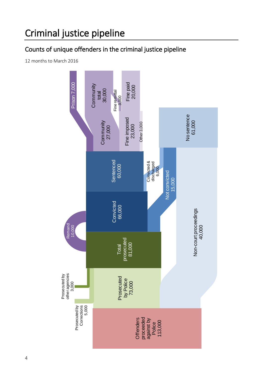### <span id="page-5-0"></span>Criminal justice pipeline

### Counts of unique offenders in the criminal justice pipeline

12 months to March 2016

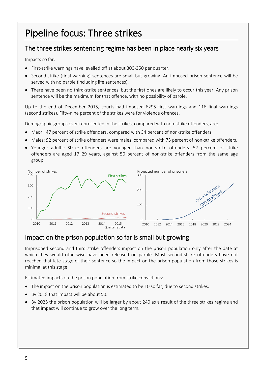### <span id="page-6-0"></span>Pipeline focus: Three strikes

### The three strikes sentencing regime has been in place nearly six years

Impacts so far:

- First-strike warnings have levelled off at about 300-350 per quarter.
- Second-strike (final warning) sentences are small but growing. An imposed prison sentence will be served with no parole (including life sentences).
- There have been no third-strike sentences, but the first ones are likely to occur this year. Any prison sentence will be the maximum for that offence, with no possibility of parole.

Up to the end of December 2015, courts had imposed 6295 first warnings and 116 final warnings (second strikes). Fifty-nine percent of the strikes were for violence offences.

Demographic groups over-represented in the strikes, compared with non-strike offenders, are:

- Maori: 47 percent of strike offenders, compared with 34 percent of non-strike offenders.
- Males: 92 percent of strike offenders were males, compared with 73 percent of non-strike offenders.
- Younger adults: Strike offenders are younger than non-strike offenders. 57 percent of strike offenders are aged 17–29 years, against 50 percent of non-strike offenders from the same age group.



### Impact on the prison population so far is small but growing

Imprisoned second and third strike offenders impact on the prison population only after the date at which they would otherwise have been released on parole. Most second-strike offenders have not reached that late stage of their sentence so the impact on the prison population from those strikes is minimal at this stage.

Estimated impacts on the prison population from strike convictions:

- The impact on the prison population is estimated to be 10 so far, due to second strikes.
- By 2018 that impact will be about 50.
- By 2025 the prison population will be larger by about 240 as a result of the three strikes regime and that impact will continue to grow over the long term.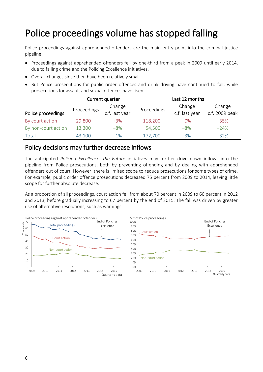### <span id="page-7-0"></span>Police proceedings volume has stopped falling

Police proceedings against apprehended offenders are the main entry point into the criminal justice pipeline:

- Proceedings against apprehended offenders fell by one-third from a peak in 2009 until early 2014, due to falling crime and the Policing Excellence initiatives.
- Overall changes since then have been relatively small.
- But Police prosecutions for public order offences and drink driving have continued to fall, while prosecutions for assault and sexual offences have risen.

|                     | Current quarter |                       | Last 12 months |                |                |  |
|---------------------|-----------------|-----------------------|----------------|----------------|----------------|--|
|                     | Proceedings     | Change<br>Proceedings |                | Change         | Change         |  |
| Police proceedings  |                 | c.f. last year        |                | c.f. last year | c.f. 2009 peak |  |
| By court action     | 29,800          | $+3%$                 | 118,200        | 0%             | $-35%$         |  |
| By non-court action | 13,300          | $-8%$                 | 54,500         | $-8%$          | $-24%$         |  |
| Total               | 43,100          | $-1%$                 | 172,700        | $-3%$          | $-32%$         |  |

### Policy decisions may further decrease inflows

The anticipated *Policing Excellence: the Future* initiatives may further drive down inflows into the pipeline from Police prosecutions, both by preventing offending and by dealing with apprehended offenders out of court. However, there is limited scope to reduce prosecutions for some types of crime. For example, public order offence prosecutions decreased 75 percent from 2009 to 2014, leaving little scope for further absolute decrease.

As a proportion of all proceedings, court action fell from about 70 percent in 2009 to 60 percent in 2012 and 2013, before gradually increasing to 67 percent by the end of 2015. The fall was driven by greater use of alternative resolutions, such as warnings.

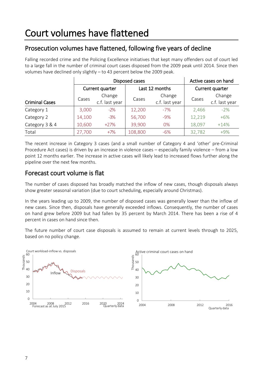### <span id="page-8-0"></span>Prosecution volumes have flattened, following five years of decline

Falling recorded crime and the Policing Excellence initiatives that kept many offenders out of court led to a large fall in the number of criminal court cases disposed from the 2009 peak until 2014. Since then volumes have declined only slightly – to 43 percent below the 2009 peak.

|                       |        | Disposed cases           | Active cases on hand |                          |                 |                          |
|-----------------------|--------|--------------------------|----------------------|--------------------------|-----------------|--------------------------|
|                       |        | Current quarter          |                      | Last 12 months           | Current quarter |                          |
| <b>Criminal Cases</b> | Cases  | Change<br>c.f. last year | Cases                | Change<br>c.f. last year | Cases           | Change<br>c.f. last year |
| Category 1            | 3,000  | $-2\%$                   | 12,200               | $-7%$                    | 2,466           | $-2%$                    |
| Category 2            | 14,100 | $-3%$                    | 56,700               | $-9%$                    | 12,219          | $+6%$                    |
| Category 3 & 4        | 10,600 | $+27%$                   | 39,900               | 0%                       | 18,097          | $+14%$                   |
| Total                 | 27,700 | $+7%$                    | 108,800              | $-6%$                    | 32,782          | $+9%$                    |

The recent increase in Category 3 cases (and a small number of Category 4 and 'other' pre-Criminal Procedure Act cases) is driven by an increase in violence cases – especially family violence – from a low point 12 months earlier. The increase in active cases will likely lead to increased flows further along the pipeline over the next few months.

### Forecast court volume is flat

The number of cases disposed has broadly matched the inflow of new cases, though disposals always show greater seasonal variation (due to court scheduling, especially around Christmas).

In the years leading up to 2009, the number of disposed cases was generally lower than the inflow of new cases. Since then, disposals have generally exceeded inflows. Consequently, the number of cases on hand grew before 2009 but had fallen by 35 percent by March 2014. There has been a rise of 4 percent in cases on hand since then.

The future number of court case disposals is assumed to remain at current levels through to 2025, based on no policy change.

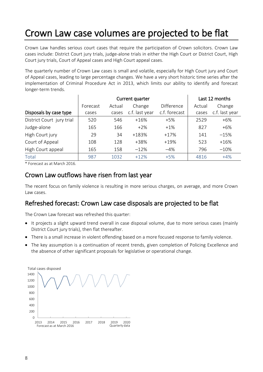### <span id="page-9-0"></span>Crown Law case volumes are projected to be flat

Crown Law handles serious court cases that require the participation of Crown solicitors. Crown Law cases include: District Court jury trials, judge-alone trials in either the High Court or District Court, High Court jury trials, Court of Appeal cases and High Court appeal cases.

The quarterly number of Crown Law cases is small and volatile, especially for High Court jury and Court of Appeal cases, leading to large percentage changes. We have a very short historic time series after the implementation of Criminal Procedure Act in 2013, which limits our ability to identify and forecast longer-term trends.

|                           |          | Current quarter | Last 12 months |                   |        |                |
|---------------------------|----------|-----------------|----------------|-------------------|--------|----------------|
|                           | Forecast | Actual          | Change         | <b>Difference</b> | Actual | Change         |
| Disposals by case type    | cases    | cases           | c.f. last year | c.f. forecast     | cases  | c.f. last year |
| District Court jury trial | 520      | 546             | $+16%$         | $+5%$             | 2529   | $+6%$          |
| Judge-alone               | 165      | 166             | $+2\%$         | $+1\%$            | 827    | $+6\%$         |
| High Court jury           | 29       | 34              | +183%          | $+17%$            | 141    | $-15%$         |
| Court of Appeal           | 108      | 128             | +38%           | $+19%$            | 523    | $+16%$         |
| High Court appeal         | 165      | 158             | $-12%$         | $-4%$             | 796    | $-10%$         |
| Total                     | 987      | 1032            | $+12%$         | $+5%$             | 4816   | $+4%$          |

\* Forecast as at March 2016.

#### Crown Law outflows have risen from last year

The recent focus on family violence is resulting in more serious charges, on average, and more Crown Law cases.

#### Refreshed forecast: Crown Law case disposals are projected to be flat

The Crown Law forecast was refreshed this quarter:

- It projects a slight upward trend overall in case disposal volume, due to more serious cases (mainly District Court jury trials), then flat thereafter.
- There is a small increase in violent offending based on a more focused response to family violence.
- The key assumption is a continuation of recent trends, given completion of Policing Excellence and the absence of other significant proposals for legislative or operational change.

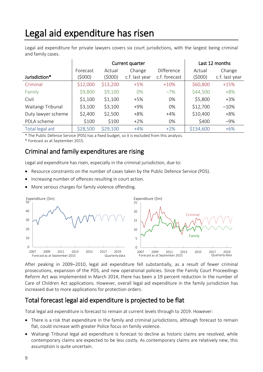### <span id="page-10-0"></span>Legal aid expenditure has risen

Legal aid expenditure for private lawyers covers six court jurisdictions, with the largest being criminal and family cases.

|                    |                     | Current quarter   |                          | Last 12 months              |                   |                          |
|--------------------|---------------------|-------------------|--------------------------|-----------------------------|-------------------|--------------------------|
| Jurisdiction*      | Forecast<br>(\$000) | Actual<br>(\$000) | Change<br>c.f. last year | Difference<br>c.f. forecast | Actual<br>(\$000) | Change<br>c.f. last year |
| Criminal           | \$12,000            | \$13,200          | $+5%$                    | $+10%$                      | \$60,800          | $+15%$                   |
| Family             | \$9,800             | \$9,100           | $0\%$                    | $-7%$                       | \$44,500          | $+8%$                    |
| Civil              | \$1,100             | \$1,100           | $+5%$                    | 0%                          | \$5,800           | $+3%$                    |
| Waitangi Tribunal  | \$3,100             | \$3,100           | $+9%$                    | 0%                          | \$12,700          | $-10%$                   |
| Duty lawyer scheme | \$2,400             | \$2,500           | $+8%$                    | $+4%$                       | \$10,400          | $+8%$                    |
| PDLA scheme        | \$100               | \$100             | $+2%$                    | 0%                          | \$400             | $-9%$                    |
| Total legal aid    | \$28,500            | \$29,100          | $+4%$                    | $+2\%$                      | \$134,600         | $+6%$                    |

\* The Public Defence Service (PDS) has a fixed budget, so it is excluded from this analysis.

\* Forecast as at September 2015.

#### Criminal and family expenditures are rising

Legal aid expenditure has risen, especially in the criminal jurisdiction, due to:

- Resource constraints on the number of cases taken by the Public Defence Service (PDS).
- Increasing number of offences resulting in court action.
- More serious charges for family violence offending.



After peaking in 2009–2010, legal aid expenditure fell substantially, as a result of fewer criminal prosecutions, expansion of the PDS, and new operational policies. Since the Family Court Proceedings Reform Act was implemented in March 2014, there has been a 19 percent reduction in the number of Care of Children Act applications. However, overall legal aid expenditure in the family jurisdiction has increased due to more applications for protection orders.

### Total forecast legal aid expenditure is projected to be flat

Total legal aid expenditure is forecast to remain at current levels through to 2019. However:

- There is a risk that expenditure in the family and criminal jurisdictions, although forecast to remain flat, could increase with greater Police focus on family violence.
- Waitangi Tribunal legal aid expenditure is forecast to decline as historic claims are resolved, while contemporary claims are expected to be less costly. As contemporary claims are relatively new, this assumption is quite uncertain.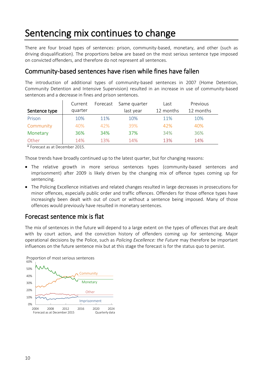### <span id="page-11-0"></span>Sentencing mix continues to change

There are four broad types of sentences: prison, community-based, monetary, and other (such as driving disqualification). The proportions below are based on the most serious sentence type imposed on convicted offenders, and therefore do not represent all sentences.

#### Community-based sentences have risen while fines have fallen

The introduction of additional types of community-based sentences in 2007 (Home Detention, Community Detention and Intensive Supervision) resulted in an increase in use of community-based sentences and a decrease in fines and prison sentences.

|               | Current | Forecast | Same quarter | Last      | Previous  |
|---------------|---------|----------|--------------|-----------|-----------|
| Sentence type | quarter |          | last year    | 12 months | 12 months |
| Prison        | 10%     | 11%      | 10%          | 11%       | 10%       |
| Community     | 40%     | 42%      | 39%          | 42%       | 40%       |
| Monetary      | 36%     | 34%      | 37%          | 34%       | 36%       |
| Other         | 14%     | 13%      | 14%          | 13%       | 14%       |

\* Forecast as at December 2015.

Those trends have broadly continued up to the latest quarter, but for changing reasons:

- The relative growth in more serious sentences types (community-based sentences and imprisonment) after 2009 is likely driven by the changing mix of offence types coming up for sentencing.
- The Policing Excellence initiatives and related changes resulted in large decreases in prosecutions for minor offences, especially public order and traffic offences. Offenders for those offence types have increasingly been dealt with out of court or without a sentence being imposed. Many of those offences would previously have resulted in monetary sentences.

### Forecast sentence mix is flat

The mix of sentences in the future will depend to a large extent on the types of offences that are dealt with by court action, and the conviction history of offenders coming up for sentencing. Major operational decisions by the Police, such as *Policing Excellence: the Future* may therefore be important influences on the future sentence mix but at this stage the forecast is for the status quo to persist.

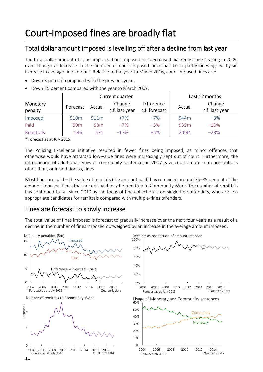### <span id="page-12-0"></span>Total dollar amount imposed is levelling off after a decline from last year

The total dollar amount of court-imposed fines imposed has decreased markedly since peaking in 2009, even though a decrease in the number of court-imposed fines has been partly outweighed by an increase in average fine amount. Relative to the year to March 2016, court-imposed fines are:

- Down 3 percent compared with the previous year.
- Down 25 percent compared with the year to March 2009.

|                     |          |        | Current quarter          |                                    | Last 12 months |                          |
|---------------------|----------|--------|--------------------------|------------------------------------|----------------|--------------------------|
| Monetary<br>penalty | Forecast | Actual | Change<br>c.f. last year | <b>Difference</b><br>c.f. forecast | Actual         | Change<br>c.f. last year |
| Imposed             | \$10m    | \$11m  | $+7%$                    | $+7%$                              | \$44m          | $-3%$                    |
| Paid                | 59m      | \$8m   | $-7%$                    | $-5%$                              | \$35m          | $-10%$                   |
| Remittals           | 546      | 571    | $-17%$                   | $+5%$                              | 2,694          | $-23%$                   |

\* Forecast as at July 2015.

The Policing Excellence initiative resulted in fewer fines being imposed, as minor offences that otherwise would have attracted low-value fines were increasingly kept out of court. Furthermore, the introduction of additional types of community sentences in 2007 gave courts more sentence options other than, or in addition to, fines.

Most fines are paid – the value of receipts (the amount paid) has remained around 75–85 percent of the amount imposed. Fines that are not paid may be remitted to Community Work. The number of remittals has continued to fall since 2010 as the focus of fine collection is on single-fine offenders, who are less appropriate candidates for remittals compared with multiple-fines offenders.

#### Fines are forecast to slowly increase

The total value of fines imposed is forecast to gradually increase over the next four years as a result of a decline in the number of fines imposed outweighed by an increase in the average amount imposed.

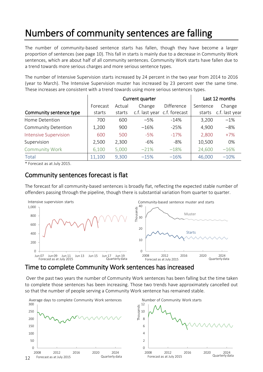## <span id="page-13-0"></span>Numbers of community sentences are falling

The number of community-based sentence starts has fallen, though they have become a larger proportion of sentences (see page 10). This fall in starts is mainly due to a decrease in Community Work sentences, which are about half of all community sentences. Community Work starts have fallen due to a trend towards more serious charges and more serious sentence types.

The number of Intensive Supervision starts increased by 24 percent in the two year from 2014 to 2016 (year to March). The Intensive Supervision muster has increased by 23 percent over the same time. These increases are consistent with a trend towards using more serious sentences types.

|                              |          | Current quarter | Last 12 months               |            |          |                |
|------------------------------|----------|-----------------|------------------------------|------------|----------|----------------|
|                              | Forecast | Actual          | Change                       | Difference | Sentence | Change         |
| Community sentence type      | starts   | starts          | c.f. last year c.f. forecast |            | starts   | c.f. last year |
| Home Detention               | 700      | 600             | $-5%$                        | $-14%$     | 3,200    | $-1\%$         |
| <b>Community Detention</b>   | 1,200    | 900             | $-16%$                       | $-25%$     | 4,900    | $-8%$          |
| <b>Intensive Supervision</b> | 600      | 500             | $-5%$                        | $-17%$     | 2,800    | $+7%$          |
| Supervision                  | 2,500    | 2,300           | -6%                          | -8%        | 10,500   | 0%             |
| <b>Community Work</b>        | 6,100    | 5,000           | $-21%$                       | $-18%$     | 24,600   | $-16%$         |
| Total                        | 11,100   | 9,300           | $-15%$                       | $-16%$     | 46,000   | $-10%$         |

\* Forecast as at July 2015.

### Community sentences forecast is flat

The forecast for all community-based sentences is broadly flat, reflecting the expected stable number of offenders passing through the pipeline, though there is substantial variation from quarter to quarter.



### Time to complete Community Work sentences has increased

Over the past two years the number of Community Work sentences has been falling but the time taken to complete those sentences has been increasing. Those two trends have approximately cancelled out so that the number of people serving a Community Work sentence has remained stable.

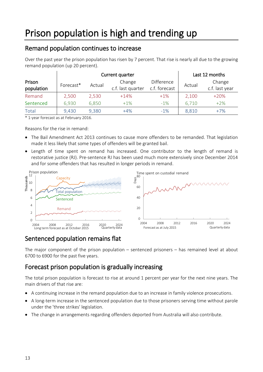### <span id="page-14-0"></span>Remand population continues to increase

Over the past year the prison population has risen by 7 percent. That rise is nearly all due to the growing remand population (up 20 percent).

|                      |           | Current quarter |                             | Last 12 months              |        |                          |
|----------------------|-----------|-----------------|-----------------------------|-----------------------------|--------|--------------------------|
| Prison<br>population | Forecast* | Actual          | Change<br>c.f. last quarter | Difference<br>c.f. forecast | Actual | Change<br>c.f. last year |
| Remand               | 2,500     | 2,530           | $+14%$                      | $+1\%$                      | 2,100  | $+20%$                   |
| Sentenced            | 6,930     | 6,850           | $+1\%$                      | $-1\%$                      | 6,710  | $+2%$                    |
| Total                | 9,430     | 9,380           | $+4%$                       | $-1\%$                      | 8,810  | $+7%$                    |

\* 1-year forecast as at February 2016.

Reasons for the rise in remand:

- The Bail Amendment Act 2013 continues to cause more offenders to be remanded. That legislation made it less likely that some types of offenders will be granted bail.
- Length of time spent on remand has increased. One contributor to the length of remand is restorative justice (RJ). Pre-sentence RJ has been used much more extensively since December 2014 and for some offenders that has resulted in longer periods in remand.



### Sentenced population remains flat

The major component of the prison population – sentenced prisoners – has remained level at about 6700 to 6900 for the past five years.

### Forecast prison population is gradually increasing

The total prison population is forecast to rise at around 1 percent per year for the next nine years. The main drivers of that rise are:

- A continuing increase in the remand population due to an increase in family violence prosecutions.
- A long-term increase in the sentenced population due to those prisoners serving time without parole under the 'three strikes' legislation.
- The change in arrangements regarding offenders deported from Australia will also contribute.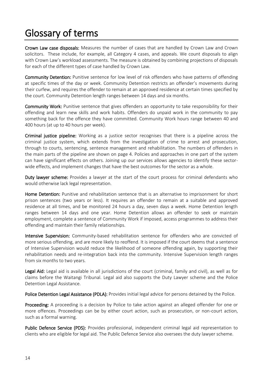### <span id="page-15-0"></span>Glossary of terms

Crown Law case disposals: Measures the number of cases that are handled by Crown Law and Crown solicitors. These include, for example, all Category 4 cases, and appeals. We count disposals to align with Crown Law's workload assessments. The measure is obtained by combining projections of disposals for each of the different types of case handled by Crown Law.

Community Detention: Punitive sentence for low level of risk offenders who have patterns of offending at specific times of the day or week. Community Detention restricts an offender's movements during their curfew, and requires the offender to remain at an approved residence at certain times specified by the court. Community Detention length ranges between 14 days and six months.

Community Work: Punitive sentence that gives offenders an opportunity to take responsibility for their offending and learn new skills and work habits. Offenders do unpaid work in the community to pay something back for the offence they have committed. Community Work hours range between 40 and 400 hours (at up to 40 hours per week).

Criminal justice pipeline: Working as a justice sector recognises that there is a pipeline across the criminal justice system, which extends from the investigation of crime to arrest and prosecution, through to courts, sentencing, sentence management and rehabilitation. The numbers of offenders in the main parts of the pipeline are shown on page [4.](#page-5-0) Policies and approaches in one part of the system can have significant effects on others. Joining up our services allows agencies to identify these sectorwide effects, and implement changes that have the best outcomes for the sector as a whole.

Duty lawyer scheme: Provides a lawyer at the start of the court process for criminal defendants who would otherwise lack legal representation.

Home Detention: Punitive and rehabilitation sentence that is an alternative to imprisonment for short prison sentences (two years or less). It requires an offender to remain at a suitable and approved residence at all times, and be monitored 24 hours a day, seven days a week. Home Detention length ranges between 14 days and one year. Home Detention allows an offender to seek or maintain employment, complete a sentence of Community Work if imposed, access programmes to address their offending and maintain their family relationships.

Intensive Supervision: Community-based rehabilitation sentence for offenders who are convicted of more serious offending, and are more likely to reoffend. It is imposed if the court deems that a sentence of Intensive Supervision would reduce the likelihood of someone offending again, by supporting their rehabilitation needs and re-integration back into the community. Intensive Supervision length ranges from six months to two years.

Legal Aid: Legal aid is available in all jurisdictions of the court (criminal, family and civil), as well as for claims before the Waitangi Tribunal. Legal aid also supports the Duty Lawyer scheme and the Police Detention Legal Assistance.

Police Detention Legal Assistance (PDLA): Provides initial legal advice for persons detained by the Police.

**Proceeding:** A proceeding is a decision by Police to take action against an alleged offender for one or more offences. Proceedings can be by either court action, such as prosecution, or non-court action, such as a formal warning.

Public Defence Service (PDS): Provides professional, independent criminal legal aid representation to clients who are eligible for legal aid. The Public Defence Service also oversees the duty lawyer scheme.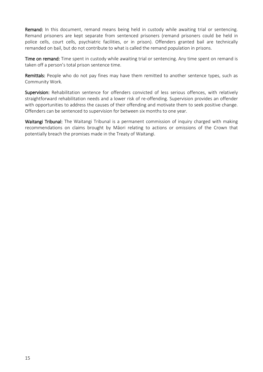Remand: In this document, remand means being held in custody while awaiting trial or sentencing. Remand prisoners are kept separate from sentenced prisoners (remand prisoners could be held in police cells, court cells, psychiatric facilities, or in prison). Offenders granted bail are technically remanded on bail, but do not contribute to what is called the remand population in prisons.

Time on remand: Time spent in custody while awaiting trial or sentencing. Any time spent on remand is taken off a person's total prison sentence time.

Remittals: People who do not pay fines may have them remitted to another sentence types, such as Community Work*.*

Supervision: Rehabilitation sentence for offenders convicted of less serious offences, with relatively straightforward rehabilitation needs and a lower risk of re-offending. Supervision provides an offender with opportunities to address the causes of their offending and motivate them to seek positive change. Offenders can be sentenced to supervision for between six months to one year.

Waitangi Tribunal: The Waitangi Tribunal is a permanent commission of inquiry charged with making recommendations on claims brought by Māori relating to actions or omissions of the Crown that potentially breach the promises made in the Treaty of Waitangi.